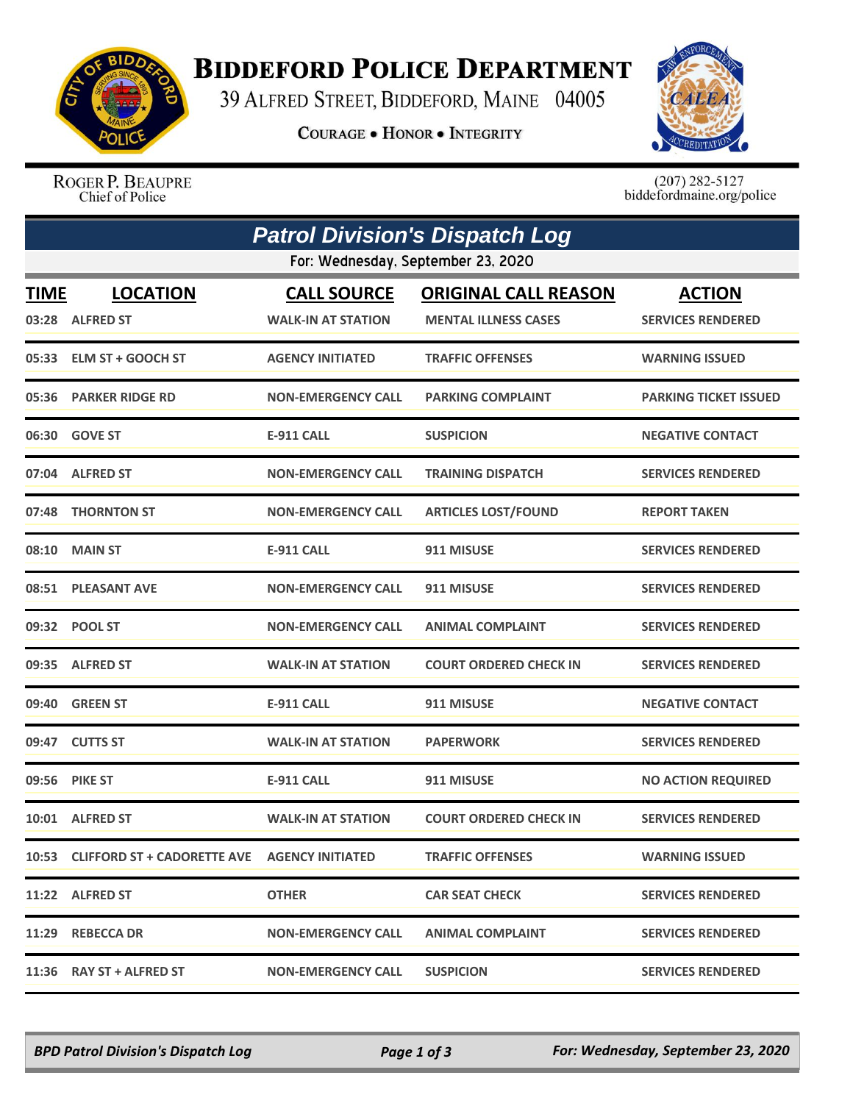

## **BIDDEFORD POLICE DEPARTMENT**

39 ALFRED STREET, BIDDEFORD, MAINE 04005

**COURAGE . HONOR . INTEGRITY** 



ROGER P. BEAUPRE Chief of Police

 $(207)$  282-5127<br>biddefordmaine.org/police

| <b>Patrol Division's Dispatch Log</b> |                                                    |                                                 |                                                            |                                           |  |  |  |  |
|---------------------------------------|----------------------------------------------------|-------------------------------------------------|------------------------------------------------------------|-------------------------------------------|--|--|--|--|
| For: Wednesday, September 23, 2020    |                                                    |                                                 |                                                            |                                           |  |  |  |  |
| <b>TIME</b>                           | <b>LOCATION</b><br>03:28 ALFRED ST                 | <b>CALL SOURCE</b><br><b>WALK-IN AT STATION</b> | <b>ORIGINAL CALL REASON</b><br><b>MENTAL ILLNESS CASES</b> | <b>ACTION</b><br><b>SERVICES RENDERED</b> |  |  |  |  |
|                                       | 05:33 ELM ST + GOOCH ST                            | <b>AGENCY INITIATED</b>                         | <b>TRAFFIC OFFENSES</b>                                    | <b>WARNING ISSUED</b>                     |  |  |  |  |
|                                       | 05:36 PARKER RIDGE RD                              | <b>NON-EMERGENCY CALL</b>                       | <b>PARKING COMPLAINT</b>                                   | <b>PARKING TICKET ISSUED</b>              |  |  |  |  |
|                                       | 06:30 GOVE ST                                      | <b>E-911 CALL</b>                               | <b>SUSPICION</b>                                           | <b>NEGATIVE CONTACT</b>                   |  |  |  |  |
|                                       | 07:04 ALFRED ST                                    | <b>NON-EMERGENCY CALL</b>                       | <b>TRAINING DISPATCH</b>                                   | <b>SERVICES RENDERED</b>                  |  |  |  |  |
|                                       | 07:48 THORNTON ST                                  | <b>NON-EMERGENCY CALL</b>                       | <b>ARTICLES LOST/FOUND</b>                                 | <b>REPORT TAKEN</b>                       |  |  |  |  |
|                                       | 08:10 MAIN ST                                      | <b>E-911 CALL</b>                               | 911 MISUSE                                                 | <b>SERVICES RENDERED</b>                  |  |  |  |  |
| 08:51                                 | <b>PLEASANT AVE</b>                                | <b>NON-EMERGENCY CALL</b>                       | 911 MISUSE                                                 | <b>SERVICES RENDERED</b>                  |  |  |  |  |
|                                       | 09:32 POOL ST                                      | <b>NON-EMERGENCY CALL</b>                       | <b>ANIMAL COMPLAINT</b>                                    | <b>SERVICES RENDERED</b>                  |  |  |  |  |
|                                       | 09:35 ALFRED ST                                    | <b>WALK-IN AT STATION</b>                       | <b>COURT ORDERED CHECK IN</b>                              | <b>SERVICES RENDERED</b>                  |  |  |  |  |
| 09:40                                 | <b>GREEN ST</b>                                    | <b>E-911 CALL</b>                               | 911 MISUSE                                                 | <b>NEGATIVE CONTACT</b>                   |  |  |  |  |
|                                       | 09:47 CUTTS ST                                     | <b>WALK-IN AT STATION</b>                       | <b>PAPERWORK</b>                                           | <b>SERVICES RENDERED</b>                  |  |  |  |  |
| 09:56                                 | <b>PIKE ST</b>                                     | <b>E-911 CALL</b>                               | 911 MISUSE                                                 | <b>NO ACTION REQUIRED</b>                 |  |  |  |  |
|                                       | 10:01 ALFRED ST                                    | <b>WALK-IN AT STATION</b>                       | <b>COURT ORDERED CHECK IN</b>                              | <b>SERVICES RENDERED</b>                  |  |  |  |  |
|                                       | 10:53 CLIFFORD ST + CADORETTE AVE AGENCY INITIATED |                                                 | <b>TRAFFIC OFFENSES</b>                                    | <b>WARNING ISSUED</b>                     |  |  |  |  |
|                                       | 11:22 ALFRED ST                                    | <b>OTHER</b>                                    | <b>CAR SEAT CHECK</b>                                      | <b>SERVICES RENDERED</b>                  |  |  |  |  |
|                                       | 11:29 REBECCA DR                                   | <b>NON-EMERGENCY CALL</b>                       | <b>ANIMAL COMPLAINT</b>                                    | <b>SERVICES RENDERED</b>                  |  |  |  |  |
|                                       | 11:36 RAY ST + ALFRED ST                           | <b>NON-EMERGENCY CALL</b>                       | <b>SUSPICION</b>                                           | <b>SERVICES RENDERED</b>                  |  |  |  |  |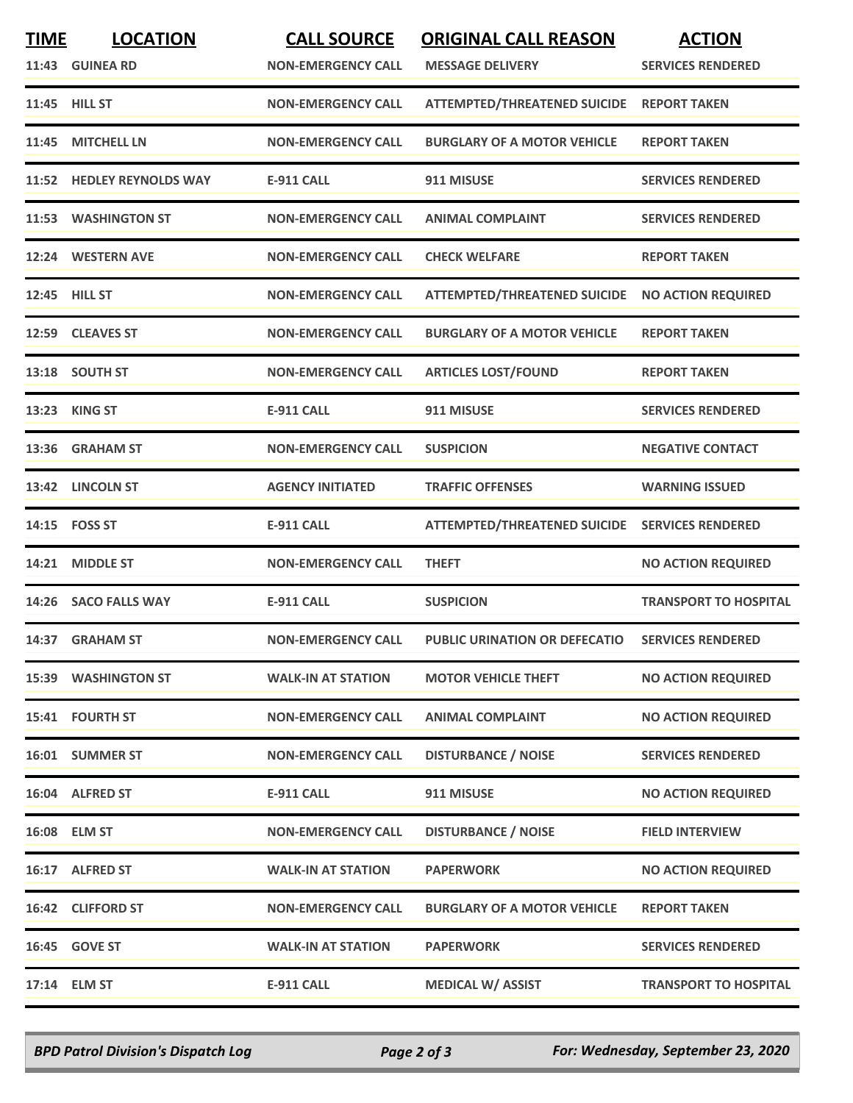| <b>TIME</b> | <b>LOCATION</b><br>11:43 GUINEA RD | <b>CALL SOURCE</b><br><b>NON-EMERGENCY CALL</b> | <b>ORIGINAL CALL REASON</b><br><b>MESSAGE DELIVERY</b> | <b>ACTION</b><br><b>SERVICES RENDERED</b> |
|-------------|------------------------------------|-------------------------------------------------|--------------------------------------------------------|-------------------------------------------|
|             | 11:45 HILL ST                      | <b>NON-EMERGENCY CALL</b>                       | <b>ATTEMPTED/THREATENED SUICIDE</b>                    | <b>REPORT TAKEN</b>                       |
|             | 11:45 MITCHELL LN                  | <b>NON-EMERGENCY CALL</b>                       | <b>BURGLARY OF A MOTOR VEHICLE</b>                     | <b>REPORT TAKEN</b>                       |
|             | 11:52 HEDLEY REYNOLDS WAY          | <b>E-911 CALL</b>                               | 911 MISUSE                                             | <b>SERVICES RENDERED</b>                  |
|             | 11:53 WASHINGTON ST                | <b>NON-EMERGENCY CALL</b>                       | <b>ANIMAL COMPLAINT</b>                                | <b>SERVICES RENDERED</b>                  |
|             | 12:24 WESTERN AVE                  | <b>NON-EMERGENCY CALL</b>                       | <b>CHECK WELFARE</b>                                   | <b>REPORT TAKEN</b>                       |
|             | 12:45 HILL ST                      | <b>NON-EMERGENCY CALL</b>                       | ATTEMPTED/THREATENED SUICIDE NO ACTION REQUIRED        |                                           |
|             | 12:59 CLEAVES ST                   | <b>NON-EMERGENCY CALL</b>                       | <b>BURGLARY OF A MOTOR VEHICLE</b>                     | <b>REPORT TAKEN</b>                       |
|             | 13:18 SOUTH ST                     | <b>NON-EMERGENCY CALL</b>                       | <b>ARTICLES LOST/FOUND</b>                             | <b>REPORT TAKEN</b>                       |
| 13:23       | <b>KING ST</b>                     | <b>E-911 CALL</b>                               | 911 MISUSE                                             | <b>SERVICES RENDERED</b>                  |
|             | 13:36 GRAHAM ST                    | <b>NON-EMERGENCY CALL</b>                       | <b>SUSPICION</b>                                       | <b>NEGATIVE CONTACT</b>                   |
|             | 13:42 LINCOLN ST                   | <b>AGENCY INITIATED</b>                         | <b>TRAFFIC OFFENSES</b>                                | <b>WARNING ISSUED</b>                     |
|             | 14:15    FOSS ST                   | <b>E-911 CALL</b>                               | <b>ATTEMPTED/THREATENED SUICIDE</b>                    | <b>SERVICES RENDERED</b>                  |
|             | 14:21 MIDDLE ST                    | <b>NON-EMERGENCY CALL</b>                       | <b>THEFT</b>                                           | <b>NO ACTION REQUIRED</b>                 |
|             | 14:26 SACO FALLS WAY               | <b>E-911 CALL</b>                               | <b>SUSPICION</b>                                       | <b>TRANSPORT TO HOSPITAL</b>              |
|             | 14:37 GRAHAM ST                    | <b>NON-EMERGENCY CALL</b>                       | PUBLIC URINATION OR DEFECATIO                          | <b>SERVICES RENDERED</b>                  |
|             | 15:39 WASHINGTON ST                | <b>WALK-IN AT STATION</b>                       | <b>MOTOR VEHICLE THEFT</b>                             | <b>NO ACTION REQUIRED</b>                 |
|             | 15:41 FOURTH ST                    | <b>NON-EMERGENCY CALL</b>                       | <b>ANIMAL COMPLAINT</b>                                | <b>NO ACTION REQUIRED</b>                 |
|             | 16:01 SUMMER ST                    | <b>NON-EMERGENCY CALL</b>                       | <b>DISTURBANCE / NOISE</b>                             | <b>SERVICES RENDERED</b>                  |
|             | 16:04 ALFRED ST                    | <b>E-911 CALL</b>                               | 911 MISUSE                                             | <b>NO ACTION REQUIRED</b>                 |
|             | 16:08 ELM ST                       | <b>NON-EMERGENCY CALL</b>                       | <b>DISTURBANCE / NOISE</b>                             | <b>FIELD INTERVIEW</b>                    |
|             | 16:17 ALFRED ST                    | <b>WALK-IN AT STATION</b>                       | <b>PAPERWORK</b>                                       | <b>NO ACTION REQUIRED</b>                 |
|             | 16:42 CLIFFORD ST                  | <b>NON-EMERGENCY CALL</b>                       | <b>BURGLARY OF A MOTOR VEHICLE</b>                     | <b>REPORT TAKEN</b>                       |
|             | 16:45 GOVE ST                      | <b>WALK-IN AT STATION</b>                       | <b>PAPERWORK</b>                                       | <b>SERVICES RENDERED</b>                  |
|             | 17:14 ELM ST                       | <b>E-911 CALL</b>                               | <b>MEDICAL W/ ASSIST</b>                               | <b>TRANSPORT TO HOSPITAL</b>              |

*BPD Patrol Division's Dispatch Log Page 2 of 3 For: Wednesday, September 23, 2020*